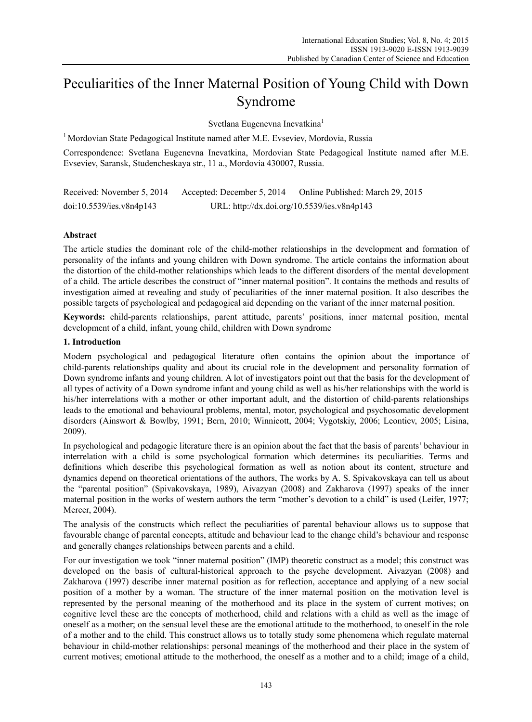# Peculiarities of the Inner Maternal Position of Young Child with Down Syndrome

Svetlana Eugenevna Inevatkina<sup>1</sup>

<sup>1</sup> Mordovian State Pedagogical Institute named after M.E. Evseviev, Mordovia, Russia

Correspondence: Svetlana Eugenevna Inevatkina, Mordovian State Pedagogical Institute named after M.E. Evseviev, Saransk, Studencheskaya str., 11 a., Mordovia 430007, Russia.

Received: November 5, 2014 Accepted: December 5, 2014 Online Published: March 29, 2015 doi:10.5539/ies.v8n4p143 URL: http://dx.doi.org/10.5539/ies.v8n4p143

# **Abstract**

The article studies the dominant role of the child-mother relationships in the development and formation of personality of the infants and young children with Down syndrome. The article contains the information about the distortion of the child-mother relationships which leads to the different disorders of the mental development of a child. The article describes the construct of "inner maternal position". It contains the methods and results of investigation aimed at revealing and study of peculiarities of the inner maternal position. It also describes the possible targets of psychological and pedagogical aid depending on the variant of the inner maternal position.

**Keywords:** child-parents relationships, parent attitude, parents' positions, inner maternal position, mental development of a child, infant, young child, children with Down syndrome

# **1. Introduction**

Modern psychological and pedagogical literature often contains the opinion about the importance of child-parents relationships quality and about its crucial role in the development and personality formation of Down syndrome infants and young children. A lot of investigators point out that the basis for the development of all types of activity of a Down syndrome infant and young child as well as his/her relationships with the world is his/her interrelations with a mother or other important adult, and the distortion of child-parents relationships leads to the emotional and behavioural problems, mental, motor, psychological and psychosomatic development disorders (Ainswort & Bowlby, 1991; Bern, 2010; Winnicott, 2004; Vygotskiy, 2006; Leontiev, 2005; Lisina, 2009).

In psychological and pedagogic literature there is an opinion about the fact that the basis of parents' behaviour in interrelation with a child is some psychological formation which determines its peculiarities. Terms and definitions which describe this psychological formation as well as notion about its content, structure and dynamics depend on theoretical orientations of the authors, The works by A. S. Spivakovskaya can tell us about the "parental position" (Spivakovskaya, 1989), Aivazyan (2008) and Zakharova (1997) speaks of the inner maternal position in the works of western authors the term "mother's devotion to a child" is used (Leifer, 1977; Mercer, 2004).

The analysis of the constructs which reflect the peculiarities of parental behaviour allows us to suppose that favourable change of parental concepts, attitude and behaviour lead to the change child's behaviour and response and generally changes relationships between parents and a child.

For our investigation we took "inner maternal position" (IMP) theoretic construct as a model; this construct was developed on the basis of cultural-historical approach to the psyche development. Aivazyan (2008) and Zakharova (1997) describe inner maternal position as for reflection, acceptance and applying of a new social position of a mother by a woman. The structure of the inner maternal position on the motivation level is represented by the personal meaning of the motherhood and its place in the system of current motives; on cognitive level these are the concepts of motherhood, child and relations with a child as well as the image of oneself as a mother; on the sensual level these are the emotional attitude to the motherhood, to oneself in the role of a mother and to the child. This construct allows us to totally study some phenomena which regulate maternal behaviour in child-mother relationships: personal meanings of the motherhood and their place in the system of current motives; emotional attitude to the motherhood, the oneself as a mother and to a child; image of a child,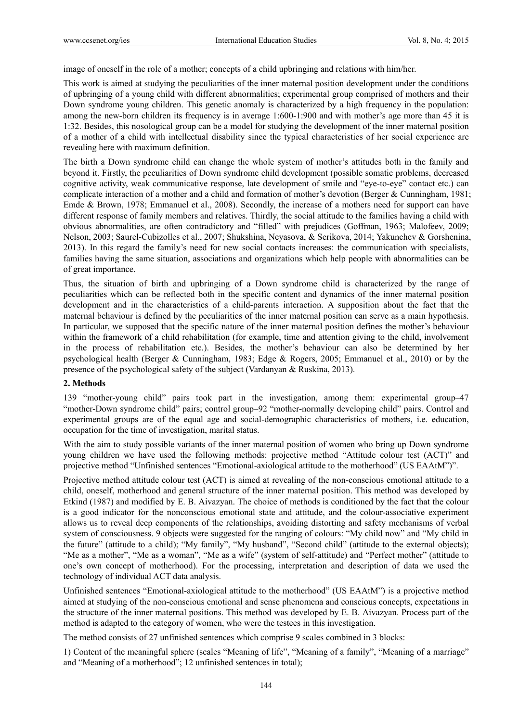image of oneself in the role of a mother; concepts of a child upbringing and relations with him/her.

This work is aimed at studying the peculiarities of the inner maternal position development under the conditions of upbringing of a young child with different abnormalities; experimental group comprised of mothers and their Down syndrome young children. This genetic anomaly is characterized by a high frequency in the population: among the new-born children its frequency is in average 1:600-1:900 and with mother's age more than 45 it is 1:32. Besides, this nosological group can be a model for studying the development of the inner maternal position of a mother of a child with intellectual disability since the typical characteristics of her social experience are revealing here with maximum definition.

The birth a Down syndrome child can change the whole system of mother's attitudes both in the family and beyond it. Firstly, the peculiarities of Down syndrome child development (possible somatic problems, decreased cognitive activity, weak communicative response, late development of smile and "eye-to-eye" contact etc.) can complicate interaction of a mother and a child and formation of mother's devotion (Berger & Cunningham, 1981; Emde & Brown, 1978; Emmanuel et al., 2008). Secondly, the increase of a mothers need for support can have different response of family members and relatives. Thirdly, the social attitude to the families having a child with obvious abnormalities, are often contradictory and "filled" with prejudices (Goffman, 1963; Malofeev, 2009; Nelson, 2003; Saurel-Cubizolles et al., 2007; Shukshina, Neyasova, & Serikova, 2014; Yakunchev & Gorshenina, 2013). In this regard the family's need for new social contacts increases: the communication with specialists, families having the same situation, associations and organizations which help people with abnormalities can be of great importance.

Thus, the situation of birth and upbringing of a Down syndrome child is characterized by the range of peculiarities which can be reflected both in the specific content and dynamics of the inner maternal position development and in the characteristics of a child-parents interaction. A supposition about the fact that the maternal behaviour is defined by the peculiarities of the inner maternal position can serve as a main hypothesis. In particular, we supposed that the specific nature of the inner maternal position defines the mother's behaviour within the framework of a child rehabilitation (for example, time and attention giving to the child, involvement in the process of rehabilitation etc.). Besides, the mother's behaviour can also be determined by her psychological health (Berger & Cunningham, 1983; Edge & Rogers, 2005; Emmanuel et al., 2010) or by the presence of the psychological safety of the subject (Vardanyan & Ruskina, 2013).

### **2. Methods**

139 "mother-young child" pairs took part in the investigation, among them: experimental group–47 "mother-Down syndrome child" pairs; control group–92 "mother-normally developing child" pairs. Control and experimental groups are of the equal age and social-demographic characteristics of mothers, i.e. education, occupation for the time of investigation, marital status.

With the aim to study possible variants of the inner maternal position of women who bring up Down syndrome young children we have used the following methods: projective method "Attitude colour test (ACT)" and projective method "Unfinished sentences "Emotional-axiological attitude to the motherhood" (US EAAtM")".

Projective method attitude colour test (ACT) is aimed at revealing of the non-conscious emotional attitude to a child, oneself, motherhood and general structure of the inner maternal position. This method was developed by Etkind (1987) and modified by E. B. Aivazyan. The choice of methods is conditioned by the fact that the colour is a good indicator for the nonconscious emotional state and attitude, and the colour-associative experiment allows us to reveal deep components of the relationships, avoiding distorting and safety mechanisms of verbal system of consciousness. 9 objects were suggested for the ranging of colours: "My child now" and "My child in the future" (attitude to a child); "My family", "My husband", "Second child" (attitude to the external objects); "Me as a mother", "Me as a woman", "Me as a wife" (system of self-attitude) and "Perfect mother" (attitude to one's own concept of motherhood). For the processing, interpretation and description of data we used the technology of individual ACT data analysis.

Unfinished sentences "Emotional-axiological attitude to the motherhood" (US EAAtM") is a projective method aimed at studying of the non-conscious emotional and sense phenomena and conscious concepts, expectations in the structure of the inner maternal positions. This method was developed by E. B. Aivazyan. Process part of the method is adapted to the category of women, who were the testees in this investigation.

The method consists of 27 unfinished sentences which comprise 9 scales combined in 3 blocks:

1) Content of the meaningful sphere (scales "Meaning of life", "Meaning of a family", "Meaning of a marriage" and "Meaning of a motherhood"; 12 unfinished sentences in total);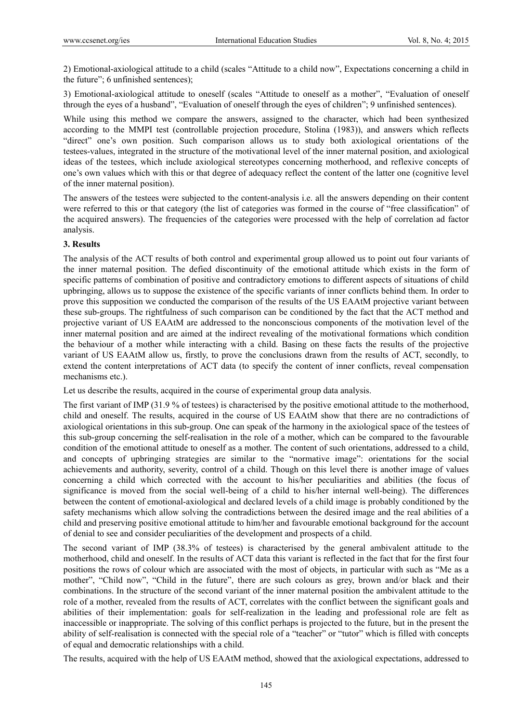2) Emotional-axiological attitude to a child (scales "Attitude to a child now", Expectations concerning a child in the future"; 6 unfinished sentences);

3) Emotional-axiological attitude to oneself (scales "Attitude to oneself as a mother", "Evaluation of oneself through the eyes of a husband", "Evaluation of oneself through the eyes of children"; 9 unfinished sentences).

While using this method we compare the answers, assigned to the character, which had been synthesized according to the MMPI test (controllable projection procedure, Stolina (1983)), and answers which reflects "direct" one's own position. Such comparison allows us to study both axiological orientations of the testees-values, integrated in the structure of the motivational level of the inner maternal position, and axiological ideas of the testees, which include axiological stereotypes concerning motherhood, and reflexive concepts of one's own values which with this or that degree of adequacy reflect the content of the latter one (cognitive level of the inner maternal position).

The answers of the testees were subjected to the content-analysis i.e. all the answers depending on their content were referred to this or that category (the list of categories was formed in the course of "free classification" of the acquired answers). The frequencies of the categories were processed with the help of correlation ad factor analysis.

# **3. Results**

The analysis of the ACT results of both control and experimental group allowed us to point out four variants of the inner maternal position. The defied discontinuity of the emotional attitude which exists in the form of specific patterns of combination of positive and contradictory emotions to different aspects of situations of child upbringing, allows us to suppose the existence of the specific variants of inner conflicts behind them. In order to prove this supposition we conducted the comparison of the results of the US EAAtM projective variant between these sub-groups. The rightfulness of such comparison can be conditioned by the fact that the ACT method and projective variant of US EAAtM are addressed to the nonconscious components of the motivation level of the inner maternal position and are aimed at the indirect revealing of the motivational formations which condition the behaviour of a mother while interacting with a child. Basing on these facts the results of the projective variant of US EAAtM allow us, firstly, to prove the conclusions drawn from the results of ACT, secondly, to extend the content interpretations of ACT data (to specify the content of inner conflicts, reveal compensation mechanisms etc.).

Let us describe the results, acquired in the course of experimental group data analysis.

The first variant of IMP (31.9 % of testees) is characterised by the positive emotional attitude to the motherhood, child and oneself. The results, acquired in the course of US EAAtM show that there are no contradictions of axiological orientations in this sub-group. One can speak of the harmony in the axiological space of the testees of this sub-group concerning the self-realisation in the role of a mother, which can be compared to the favourable condition of the emotional attitude to oneself as a mother. The content of such orientations, addressed to a child, and concepts of upbringing strategies are similar to the "normative image": orientations for the social achievements and authority, severity, control of a child. Though on this level there is another image of values concerning a child which corrected with the account to his/her peculiarities and abilities (the focus of significance is moved from the social well-being of a child to his/her internal well-being). The differences between the content of emotional-axiological and declared levels of a child image is probably conditioned by the safety mechanisms which allow solving the contradictions between the desired image and the real abilities of a child and preserving positive emotional attitude to him/her and favourable emotional background for the account of denial to see and consider peculiarities of the development and prospects of a child.

The second variant of IMP (38.3% of testees) is characterised by the general ambivalent attitude to the motherhood, child and oneself. In the results of ACT data this variant is reflected in the fact that for the first four positions the rows of colour which are associated with the most of objects, in particular with such as "Me as a mother", "Child now", "Child in the future", there are such colours as grey, brown and/or black and their combinations. In the structure of the second variant of the inner maternal position the ambivalent attitude to the role of a mother, revealed from the results of ACT, correlates with the conflict between the significant goals and abilities of their implementation: goals for self-realization in the leading and professional role are felt as inaccessible or inappropriate. The solving of this conflict perhaps is projected to the future, but in the present the ability of self-realisation is connected with the special role of a "teacher" or "tutor" which is filled with concepts of equal and democratic relationships with a child.

The results, acquired with the help of US EAAtM method, showed that the axiological expectations, addressed to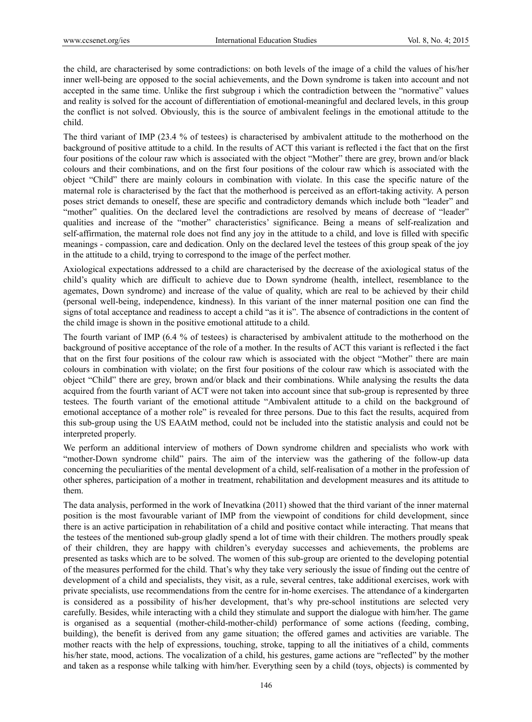the child, are characterised by some contradictions: on both levels of the image of a child the values of his/her inner well-being are opposed to the social achievements, and the Down syndrome is taken into account and not accepted in the same time. Unlike the first subgroup i which the contradiction between the "normative" values and reality is solved for the account of differentiation of emotional-meaningful and declared levels, in this group the conflict is not solved. Obviously, this is the source of ambivalent feelings in the emotional attitude to the child.

The third variant of IMP (23.4 % of testees) is characterised by ambivalent attitude to the motherhood on the background of positive attitude to a child. In the results of ACT this variant is reflected i the fact that on the first four positions of the colour raw which is associated with the object "Mother" there are grey, brown and/or black colours and their combinations, and on the first four positions of the colour raw which is associated with the object "Child" there are mainly colours in combination with violate. In this case the specific nature of the maternal role is characterised by the fact that the motherhood is perceived as an effort-taking activity. A person poses strict demands to oneself, these are specific and contradictory demands which include both "leader" and "mother" qualities. On the declared level the contradictions are resolved by means of decrease of "leader" qualities and increase of the "mother" characteristics' significance. Being a means of self-realization and self-affirmation, the maternal role does not find any joy in the attitude to a child, and love is filled with specific meanings - compassion, care and dedication. Only on the declared level the testees of this group speak of the joy in the attitude to a child, trying to correspond to the image of the perfect mother.

Axiological expectations addressed to a child are characterised by the decrease of the axiological status of the child's quality which are difficult to achieve due to Down syndrome (health, intellect, resemblance to the agemates, Down syndrome) and increase of the value of quality, which are real to be achieved by their child (personal well-being, independence, kindness). In this variant of the inner maternal position one can find the signs of total acceptance and readiness to accept a child "as it is". The absence of contradictions in the content of the child image is shown in the positive emotional attitude to a child.

The fourth variant of IMP (6.4 % of testees) is characterised by ambivalent attitude to the motherhood on the background of positive acceptance of the role of a mother. In the results of ACT this variant is reflected i the fact that on the first four positions of the colour raw which is associated with the object "Mother" there are main colours in combination with violate; on the first four positions of the colour raw which is associated with the object "Child" there are grey, brown and/or black and their combinations. While analysing the results the data acquired from the fourth variant of ACT were not taken into account since that sub-group is represented by three testees. The fourth variant of the emotional attitude "Ambivalent attitude to a child on the background of emotional acceptance of a mother role" is revealed for three persons. Due to this fact the results, acquired from this sub-group using the US EAAtM method, could not be included into the statistic analysis and could not be interpreted properly.

We perform an additional interview of mothers of Down syndrome children and specialists who work with "mother-Down syndrome child" pairs. The aim of the interview was the gathering of the follow-up data concerning the peculiarities of the mental development of a child, self-realisation of a mother in the profession of other spheres, participation of a mother in treatment, rehabilitation and development measures and its attitude to them.

The data analysis, performed in the work of Inevatkina (2011) showed that the third variant of the inner maternal position is the most favourable variant of IMP from the viewpoint of conditions for child development, since there is an active participation in rehabilitation of a child and positive contact while interacting. That means that the testees of the mentioned sub-group gladly spend a lot of time with their children. The mothers proudly speak of their children, they are happy with children's everyday successes and achievements, the problems are presented as tasks which are to be solved. The women of this sub-group are oriented to the developing potential of the measures performed for the child. That's why they take very seriously the issue of finding out the centre of development of a child and specialists, they visit, as a rule, several centres, take additional exercises, work with private specialists, use recommendations from the centre for in-home exercises. The attendance of a kindergarten is considered as a possibility of his/her development, that's why pre-school institutions are selected very carefully. Besides, while interacting with a child they stimulate and support the dialogue with him/her. The game is organised as a sequential (mother-child-mother-child) performance of some actions (feeding, combing, building), the benefit is derived from any game situation; the offered games and activities are variable. The mother reacts with the help of expressions, touching, stroke, tapping to all the initiatives of a child, comments his/her state, mood, actions. The vocalization of a child, his gestures, game actions are "reflected" by the mother and taken as a response while talking with him/her. Everything seen by a child (toys, objects) is commented by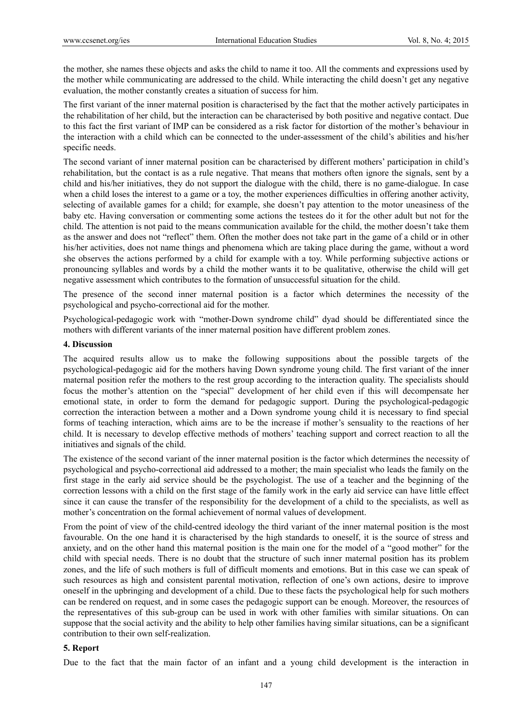the mother, she names these objects and asks the child to name it too. All the comments and expressions used by the mother while communicating are addressed to the child. While interacting the child doesn't get any negative evaluation, the mother constantly creates a situation of success for him.

The first variant of the inner maternal position is characterised by the fact that the mother actively participates in the rehabilitation of her child, but the interaction can be characterised by both positive and negative contact. Due to this fact the first variant of IMP can be considered as a risk factor for distortion of the mother's behaviour in the interaction with a child which can be connected to the under-assessment of the child's abilities and his/her specific needs.

The second variant of inner maternal position can be characterised by different mothers' participation in child's rehabilitation, but the contact is as a rule negative. That means that mothers often ignore the signals, sent by a child and his/her initiatives, they do not support the dialogue with the child, there is no game-dialogue. In case when a child loses the interest to a game or a toy, the mother experiences difficulties in offering another activity, selecting of available games for a child; for example, she doesn't pay attention to the motor uneasiness of the baby etc. Having conversation or commenting some actions the testees do it for the other adult but not for the child. The attention is not paid to the means communication available for the child, the mother doesn't take them as the answer and does not "reflect" them. Often the mother does not take part in the game of a child or in other his/her activities, does not name things and phenomena which are taking place during the game, without a word she observes the actions performed by a child for example with a toy. While performing subjective actions or pronouncing syllables and words by a child the mother wants it to be qualitative, otherwise the child will get negative assessment which contributes to the formation of unsuccessful situation for the child.

The presence of the second inner maternal position is a factor which determines the necessity of the psychological and psycho-correctional aid for the mother.

Psychological-pedagogic work with "mother-Down syndrome child" dyad should be differentiated since the mothers with different variants of the inner maternal position have different problem zones.

#### **4. Discussion**

The acquired results allow us to make the following suppositions about the possible targets of the psychological-pedagogic aid for the mothers having Down syndrome young child. The first variant of the inner maternal position refer the mothers to the rest group according to the interaction quality. The specialists should focus the mother's attention on the "special" development of her child even if this will decompensate her emotional state, in order to form the demand for pedagogic support. During the psychological-pedagogic correction the interaction between a mother and a Down syndrome young child it is necessary to find special forms of teaching interaction, which aims are to be the increase if mother's sensuality to the reactions of her child. It is necessary to develop effective methods of mothers' teaching support and correct reaction to all the initiatives and signals of the child.

The existence of the second variant of the inner maternal position is the factor which determines the necessity of psychological and psycho-correctional aid addressed to a mother; the main specialist who leads the family on the first stage in the early aid service should be the psychologist. The use of a teacher and the beginning of the correction lessons with a child on the first stage of the family work in the early aid service can have little effect since it can cause the transfer of the responsibility for the development of a child to the specialists, as well as mother's concentration on the formal achievement of normal values of development.

From the point of view of the child-centred ideology the third variant of the inner maternal position is the most favourable. On the one hand it is characterised by the high standards to oneself, it is the source of stress and anxiety, and on the other hand this maternal position is the main one for the model of a "good mother" for the child with special needs. There is no doubt that the structure of such inner maternal position has its problem zones, and the life of such mothers is full of difficult moments and emotions. But in this case we can speak of such resources as high and consistent parental motivation, reflection of one's own actions, desire to improve oneself in the upbringing and development of a child. Due to these facts the psychological help for such mothers can be rendered on request, and in some cases the pedagogic support can be enough. Moreover, the resources of the representatives of this sub-group can be used in work with other families with similar situations. On can suppose that the social activity and the ability to help other families having similar situations, can be a significant contribution to their own self-realization.

#### **5. Report**

Due to the fact that the main factor of an infant and a young child development is the interaction in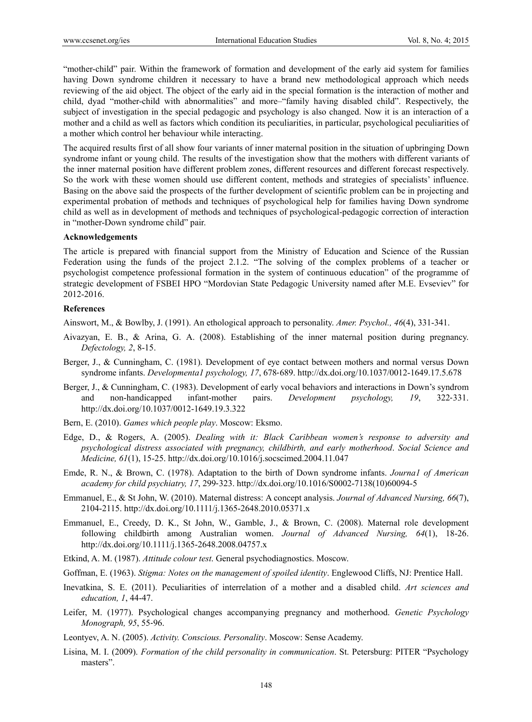"mother-child" pair. Within the framework of formation and development of the early aid system for families having Down syndrome children it necessary to have a brand new methodological approach which needs reviewing of the aid object. The object of the early aid in the special formation is the interaction of mother and child, dyad "mother-child with abnormalities" and more–"family having disabled child". Respectively, the subject of investigation in the special pedagogic and psychology is also changed. Now it is an interaction of a mother and a child as well as factors which condition its peculiarities, in particular, psychological peculiarities of a mother which control her behaviour while interacting.

The acquired results first of all show four variants of inner maternal position in the situation of upbringing Down syndrome infant or young child. The results of the investigation show that the mothers with different variants of the inner maternal position have different problem zones, different resources and different forecast respectively. So the work with these women should use different content, methods and strategies of specialists' influence. Basing on the above said the prospects of the further development of scientific problem can be in projecting and experimental probation of methods and techniques of psychological help for families having Down syndrome child as well as in development of methods and techniques of psychological-pedagogic correction of interaction in "mother-Down syndrome child" pair.

# **Acknowledgements**

The article is prepared with financial support from the Ministry of Education and Science of the Russian Federation using the funds of the project 2.1.2. "The solving of the complex problems of a teacher or psychologist competence professional formation in the system of continuous education" of the programme of strategic development of FSBEI HPO "Mordovian State Pedagogic University named after M.E. Evseviev" for 2012-2016.

#### **References**

Ainswort, M., & Bowlby, J. (1991). An ethological approach to personality. *Amer. Psychol., 46*(4), 331-341.

- Aivazyan, E. B., & Arina, G. A. (2008). Establishing of the inner maternal position during pregnancy. *Defectology, 2*, 8-15.
- Berger, J., & Cunningham, C. (1981). Development of eye contact between mothers and normal versus Down syndrome infants. *Developmenta1 psychology, 17*, 678‐689. http://dx.doi.org/10.1037/0012-1649.17.5.678
- Berger, J., & Cunningham, C. (1983). Development of early vocal behaviors and interactions in Down's syndrom and non-handicapped infant-mother pairs. *Development psychology, 19*, 322‐331. http://dx.doi.org/10.1037/0012-1649.19.3.322
- Bern, E. (2010). *Games which people play*. Moscow: Eksmo.
- Edge, D., & Rogers, A. (2005). *Dealing with it: Black Caribbean women's response to adversity and psychological distress associated with pregnancy, childbirth, and early motherhood*. *Social Science and Medicine, 61*(1), 15-25. http://dx.doi.org/10.1016/j.socscimed.2004.11.047
- Emde, R. N., & Brown, С. (1978). Adaptation to the birth of Down syndrome infants. *Journa1 of American academy for child psychiatry, 17*, 299‐323. http://dx.doi.org/10.1016/S0002-7138(10)60094-5
- Emmanuel, E., & St John, W. (2010). Maternal distress: A concept analysis. *Journal of Advanced Nursing, 66*(7), 2104-2115. http://dx.doi.org/10.1111/j.1365-2648.2010.05371.x
- Emmanuel, E., Creedy, D. K., St John, W., Gamble, J., & Brown, C. (2008). Maternal role development following childbirth among Australian women. *Journal of Advanced Nursing, 64*(1), 18-26. http://dx.doi.org/10.1111/j.1365-2648.2008.04757.x
- Etkind, A. M. (1987). *Attitude colour test*. General psychodiagnostics. Moscow.
- Goffman, E. (1963). *Stigma: Notes on the management of spoiled identity*. Englewood Cliffs, NJ: Prentice Hall.
- Inevatkina, S. E. (2011). Peculiarities of interrelation of a mother and a disabled child. *Art sciences and education, 1*, 44-47.
- Leifer, M. (1977). Psychological changes accompanying pregnancy and motherhood. *Genetic Psychology Monograph, 95*, 55‐96.
- Leontyev, A. N. (2005). *Activity. Conscious. Personality*. Moscow: Sense Academy.
- Lisina, M. I. (2009). *Formation of the child personality in communication*. St. Petersburg: PITER "Psychology masters".